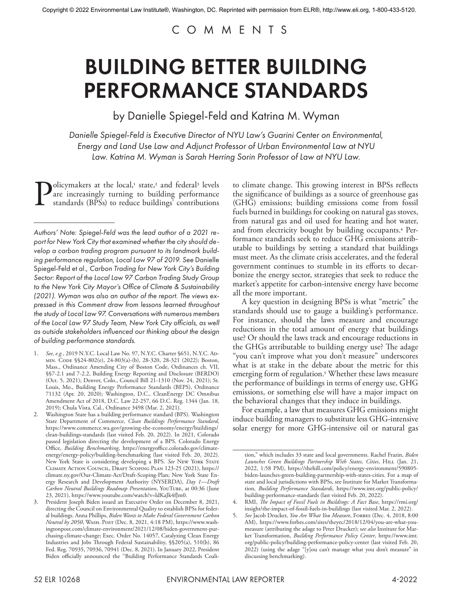# COMMENTS

# BUILDING BETTER BUILDING PERFORMANCE STANDARDS

by Danielle Spiegel-Feld and Katrina M. Wyman

*Danielle Spiegel-Feld is Executive Director of NYU Law's Guarini Center on Environmental, Energy and Land Use Law and Adjunct Professor of Urban Environmental Law at NYU Law. Katrina M. Wyman is Sarah Herring Sorin Professor of Law at NYU Law.*

**Policymakers at the local,<sup>1</sup>** state,<sup>2</sup> and federal<sup>3</sup> levels are increasingly turning to building performance standards (BPSs) to reduce buildings' contributions are increasingly turning to building performance standards (BPSs) to reduce buildings' contributions

- 1. *See*, *e.g.*, 2019 N.Y.C. Local Law No. 97, N.Y.C. Charter §651, N.Y.C. Admin. Code §§24-802(e), 24-803(a)-(b), 28-320, 28-321 (2022); Boston, Mass., Ordinance Amending City of Boston Code, Ordinances ch. VII, §§7-2.1 and 7-2.2, Building Energy Reporting and Disclosure (BERDO) (Oct. 5, 2021); Denver, Colo., Council Bill 21-1310 (Nov. 24, 2021); St. Louis, Mo., Building Energy Performance Standards (BEPS), Ordinance 71132 (Apr. 20, 2020); Washington, D.C., CleanEnergy DC Omnibus Amendment Act of 2018, D.C. Law 22-257, 66 D.C. Reg. 1344 (Jan. 18, 2019); Chula Vista, Cal., Ordinance 3498 (Mar. 2, 2021).
- 2. Washington State has a building performance standard (BPS). Washington State Department of Commerce, *Clean Buildings Performance Standard*, https://www.commerce.wa.gov/growing-the-economy/energy/buildings/ clean-buildings-standards (last visited Feb. 20, 2022). In 2021, Colorado passed legislation directing the development of a BPS. Colorado Energy Office, *Building Benchmarking*, https://energyoffice.colorado.gov/climateenergy/energy-policy/building-benchmarking (last visited Feb. 20, 2022). New York State is considering developing a BPS. *See* New York State Climate Action Council, Draft Scoping Plan 123-25 (2021), https:// climate.ny.gov/Our-Climate-Act/Draft-Scoping-Plan; New York State Energy Research and Development Authority (NYSERDA), *Day 1—Draft Carbon Neutral Buildings Roadmap Presentation*, YouTube, at 00:36 (June 23, 2021), https://www.youtube.com/watch?v=ldKaJk4fJm0.
- 3. President Joseph Biden issued an Executive Order on December 8, 2021, directing the Council on Environmental Quality to establish BPSs for federal buildings. Anna Phillips, *Biden Wants to Make Federal Government Carbon Neutral by 2050*, Wash. Post (Dec. 8, 2021, 4:18 PM), https://www.washingtonpost.com/climate-environment/2021/12/08/biden-government-purchasing-climate-change; Exec. Order No. 14057, Catalyzing Clean Energy Industries and Jobs Through Federal Sustainability, §§205(a), 510(b), 86 Fed. Reg. 70935, 70936, 70941 (Dec. 8, 2021). In January 2022, President Biden officially announced the "Building Performance Standards Coali-

to climate change. This growing interest in BPSs reflects the significance of buildings as a source of greenhouse gas (GHG) emissions; building emissions come from fossil fuels burned in buildings for cooking on natural gas stoves, from natural gas and oil used for heating and hot water, and from electricity bought by building occupants.4 Performance standards seek to reduce GHG emissions attributable to buildings by setting a standard that buildings must meet. As the climate crisis accelerates, and the federal government continues to stumble in its efforts to decarbonize the energy sector, strategies that seek to reduce the market's appetite for carbon-intensive energy have become all the more important.

A key question in designing BPSs is what "metric" the standards should use to gauge a building's performance. For instance, should the laws measure and encourage reductions in the total amount of energy that buildings use? Or should the laws track and encourage reductions in the GHGs attributable to building energy use? The adage "you can't improve what you don't measure" underscores what is at stake in the debate about the metric for this emerging form of regulation.5 Whether these laws measure the performance of buildings in terms of energy use, GHG emissions, or something else will have a major impact on the behavioral changes that they induce in buildings.

For example, a law that measures GHG emissions might induce building managers to substitute less GHG-intensive solar energy for more GHG-intensive oil or natural gas

*Authors' Note: Spiegel-Feld was the lead author of a 2021 report for New York City that examined whether the city should develop a carbon trading program pursuant to its landmark building performance regulation, Local Law 97 of 2019. See* Danielle Spiegel-Feld et al., *Carbon Trading for New York City's Building Sector: Report of the Local Law 97 Carbon Trading Study Group to the New York City Mayor's Office of Climate & Sustainability (2021). Wyman was also an author of the report. The views expressed in this Comment draw from lessons learned throughout the study of Local Law 97. Conversations with numerous members of the Local Law 97 Study Team, New York City officials, as well as outside stakeholders influenced our thinking about the design of building performance standards.*

tion," which includes 33 state and local governments. Rachel Frazin, *Biden*  Launches Green Buildings Partnership With States, Cities, HILL (Jan. 21, 2022, 1:58 PM), https://thehill.com/policy/energy-environment/590805 biden-launches-green-building-partnership-with-states-cities. For a map of state and local jurisdictions with BPSs, see Institute for Market Transformation, *Building Performance Standards*, https://www.imt.org/public-policy/ building-performance-standards (last visited Feb. 20, 2022).

<sup>4.</sup> RMI, *The Impact of Fossil Fuels in Buildings: A Fact Base*, https://rmi.org/ insight/the-impact-of-fossil-fuels-in-buildings (last visited Mar. 2, 2022).

<sup>5.</sup> See Jacob Drucker, *You Are What You Measure*, FORBES (Dec. 4, 2018, 8:00 AM), https://www.forbes.com/sites/theyec/2018/12/04/you-are-what-youmeasure (attributing the adage to Peter Drucker); s*ee also* Institute for Market Transformation, *Building Performance Policy Center*, https://www.imt. org/public-policy/building-performance-policy-center (last visited Feb. 20, 2022) (using the adage "[y]ou can't manage what you don't measure" in discussing benchmarking).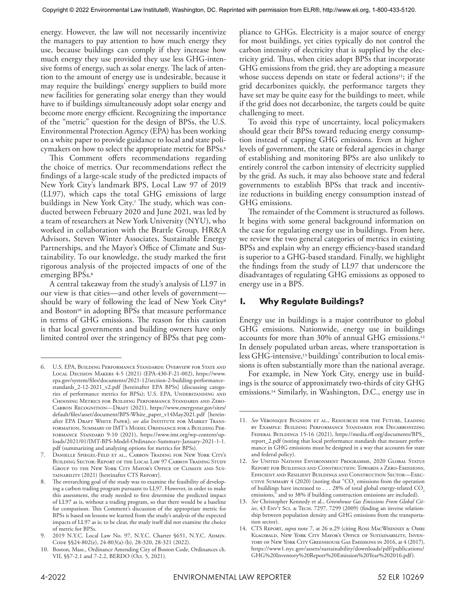energy. However, the law will not necessarily incentivize the managers to pay attention to how much energy they use, because buildings can comply if they increase how much energy they use provided they use less GHG-intensive forms of energy, such as solar energy. The lack of attention to the amount of energy use is undesirable, because it may require the buildings' energy suppliers to build more new facilities for generating solar energy than they would have to if buildings simultaneously adopt solar energy and become more energy efficient. Recognizing the importance of the "metric" question for the design of BPSs, the U.S. Environmental Protection Agency (EPA) has been working on a white paper to provide guidance to local and state policymakers on how to select the appropriate metric for BPSs.6

This Comment offers recommendations regarding the choice of metrics. Our recommendations reflect the findings of a large-scale study of the predicted impacts of New York City's landmark BPS, Local Law 97 of 2019 (LL97), which caps the total GHG emissions of large buildings in New York City.7 The study, which was conducted between February 2020 and June 2021, was led by a team of researchers at New York University (NYU), who worked in collaboration with the Brattle Group, HR&A Advisors, Steven Winter Associates, Sustainable Energy Partnerships, and the Mayor's Office of Climate and Sustainability. To our knowledge, the study marked the first rigorous analysis of the projected impacts of one of the emerging BPS<sub>s.<sup>8</sup></sub>

A central takeaway from the study's analysis of LL97 in our view is that cities—and other levels of government should be wary of following the lead of New York City<sup>9</sup> and Boston<sup>10</sup> in adopting BPSs that measure performance in terms of GHG emissions. The reason for this caution is that local governments and building owners have only limited control over the stringency of BPSs that peg com-

7. Danielle Spiegel-Feld et al., Carbon Trading for New York City's Building Sector: Report of the Local Law 97 Carbon Trading Study GROUP TO THE NEW YORK CITY MAYOR'S OFFICE OF CLIMATE AND SUS-TAINABILITY (2021) [hereinafter CTS REPORT].

pliance to GHGs. Electricity is a major source of energy for most buildings, yet cities typically do not control the carbon intensity of electricity that is supplied by the electricity grid. Thus, when cities adopt BPSs that incorporate GHG emissions from the grid, they are adopting a measure whose success depends on state or federal actions<sup>11</sup>; if the grid decarbonizes quickly, the performance targets they have set may be quite easy for the buildings to meet, while if the grid does not decarbonize, the targets could be quite challenging to meet.

To avoid this type of uncertainty, local policymakers should gear their BPSs toward reducing energy consumption instead of capping GHG emissions. Even at higher levels of government, the state or federal agencies in charge of establishing and monitoring BPSs are also unlikely to entirely control the carbon intensity of electricity supplied by the grid. As such, it may also behoove state and federal governments to establish BPSs that track and incentivize reductions in building energy consumption instead of GHG emissions.

The remainder of the Comment is structured as follows. It begins with some general background information on the case for regulating energy use in buildings. From here, we review the two general categories of metrics in existing BPSs and explain why an energy efficiency-based standard is superior to a GHG-based standard. Finally, we highlight the findings from the study of LL97 that underscore the disadvantages of regulating GHG emissions as opposed to energy use in a BPS.

# **I. Why Regulate Buildings?**

Energy use in buildings is a major contributor to global GHG emissions. Nationwide, energy use in buildings accounts for more than 30% of annual GHG emissions.12 In densely populated urban areas, where transportation is less GHG-intensive,13 buildings' contribution to local emissions is often substantially more than the national average.

For example, in New York City, energy use in buildings is the source of approximately two-thirds of city GHG emissions.14 Similarly, in Washington, D.C., energy use in

<sup>6.</sup> U.S. EPA, Building Performance Standards: Overview for State and Local Decision Makers 4-5 (2021) (EPA-430-F-21-002), https://www. epa.gov/system/files/documents/2021-12/section-2-building-performancestandards\_2-12-2021\_v2.pdf [hereinafter EPA BPSs] (discussing categories of performance metrics for BPSs); U.S. EPA, UNDERSTANDING AND Choosing Metrics for Building Performance Standards and Zero-CARBON RECOGNITION-DRAFT (2021), https://www.energystar.gov/sites/ default/files/asset/document/BPS-White\_paper\_v14May2021.pdf [hereinafter EPA DRAFT WHITE PAPER]; see also INSTITUTE FOR MARKET TRANSformation, Summary of IMT's Model Ordinance for a Building Performance Standard 9-10 (2021), https://www.imt.org/wp-content/uploads/2021/01/IMT-BPS-Model-Ordinance-Summary-January-2021-1-1. pdf (summarizing and analyzing options for metrics for BPSs).

The overarching goal of the study was to examine the feasibility of developing a carbon trading program pursuant to LL97. However, in order to make this assessment, the study needed to first determine the predicted impact of LL97 as is, without a trading program, so that there would be a baseline for comparison. This Comment's discussion of the appropriate metric for BPSs is based on lessons we learned from the study's analysis of the expected impacts of LL97 as is; to be clear, the study itself did not examine the choice of metric for BPSs.

<sup>9. 2019</sup> N.Y.C. Local Law No. 97, N.Y.C. Charter §651, N.Y.C. ADMIN. Code §§24-802(e), 24-803(a)-(b), 28-320, 28-321 (2022).

<sup>10.</sup> Boston, Mass., Ordinance Amending City of Boston Code, Ordinances ch. VII, §§7-2.1 and 7-2.2, BERDO (Oct. 5, 2021).

<sup>11.</sup> *See* Véronique Bugnion et al., Resources for the Future, Leading by Example: Building Performance Standards for Decarbonizing Federal Buildings 15-16 (2021), https://media.rff.org/documents/BPS\_ report\_2.pdf (noting that local performance standards that measure performance in GHG emissions must be designed in a way that accounts for state and federal policy).

<sup>12.</sup> *See* United Nations Environment Programme, 2020 Global Status Report for Buildings and Construction: Towards a Zero-Emissions, Efficient and Resilient Buildings and Construction Sector—Exec-UTIVE SUMMARY  $4 \,(2020)$  (noting that "CO<sub>2</sub> emissions from the operation of buildings have increased to . . . 28% of total global energy-related CO<sub>2</sub> emissions," and to 38% if building construction emissions are included).

<sup>13.</sup> *See* Christopher Kennedy et al., *Greenhouse Gas Emissions From Global Cities*, 43 Env't Sci. & Tech. 7297, 7299 (2009) (finding an inverse relationship between population density and GHG emissions from the transportation sector).

<sup>14.</sup> CTS Report, *supra* note 7, at 26 n.29 (citing Ross MacWhinney & Omri Klagsbald, New York City Mayor's Office of Sustainability, Inventory of New York City Greenhouse Gas Emissions in 2016, at 4 (2017), https://www1.nyc.gov/assets/sustainability/downloads/pdf/publications/ GHG%20Inventory%20Report%20Emission%20Year%202016.pdf).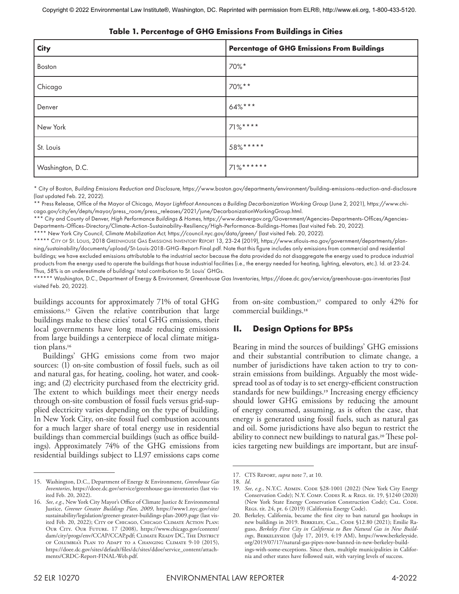| <b>City</b>      | <b>Percentage of GHG Emissions From Buildings</b> |
|------------------|---------------------------------------------------|
| Boston           | 70%*                                              |
| Chicago          | 70%**                                             |
| Denver           | 64%***                                            |
| New York         | $71\%***$                                         |
| St. Louis        | 58%*****                                          |
| Washington, D.C. | $71\%$ ******                                     |

#### **Table 1. Percentage of GHG Emissions From Buildings in Cities**

\* City of Boston, *Building Emissions Reduction and Disclosure,* https://www.boston.gov/departments/environment/building-emissions-reduction-and-disclosure (last updated Feb. 22, 2022).

\*\* Press Release, Office of the Mayor of Chicago, *Mayor Lightfoot Announces a Building Decarbonization Working Group* (June 2, 2021), https://www.chicago.gov/city/en/depts/mayor/press\_room/press\_releases/2021/june/DecarbonizationWorkingGroup.html.

\*\*\* City and County of Denver, *High Performance Buildings & Homes,* https://www.denvergov.org/Government/Agencies-Departments-Offices/Agencies-Departments-Offices-Directory/Climate-Action-Sustainability-Resiliency/High-Performance-Buildings-Homes (last visited Feb. 20, 2022).

\*\*\*\* New York City Council, *Climate Mobilization Act,* https://council.nyc.gov/data/green/ (last visited Feb. 20, 2022).

\*\*\*\*\* City of St. Louis, 2018 GREENHOUSE GAS EMISSIONS INVENTORY REPORT 13, 23-24 (2019), https://www.stlouis-mo.gov/government/departments/planning/sustainability/documents/upload/St-Louis-2018-GHG-Report-Final.pdf. Note that this figure includes only emissions from commercial and residential buildings; we have excluded emissions attributable to the industrial sector because the data provided do not disaggregate the energy used to produce industrial products from the energy used to operate the buildings that house industrial facilities (i.e., the energy needed for heating, lighting, elevators, etc.). Id. at 23-24. Thus, 58% is an underestimate of buildings' total contribution to St. Louis' GHGs.

\*\*\*\*\*\* Washington, D.C., Department of Energy & Environment, *Greenhouse Gas Inventories*, https://doee.dc.gov/service/greenhouse-gas-inventories (last visited Feb. 20, 2022).

buildings accounts for approximately 71% of total GHG emissions.15 Given the relative contribution that large buildings make to these cities' total GHG emissions, their local governments have long made reducing emissions from large buildings a centerpiece of local climate mitigation plans.16

Buildings' GHG emissions come from two major sources: (1) on-site combustion of fossil fuels, such as oil and natural gas, for heating, cooling, hot water, and cooking; and (2) electricity purchased from the electricity grid. The extent to which buildings meet their energy needs through on-site combustion of fossil fuels versus grid-supplied electricity varies depending on the type of building. In New York City, on-site fossil fuel combustion accounts for a much larger share of total energy use in residential buildings than commercial buildings (such as office buildings). Approximately 74% of the GHG emissions from residential buildings subject to LL97 emissions caps come

from on-site combustion, $17$  compared to only 42% for commercial buildings.18

# **II. Design Options for BPSs**

Bearing in mind the sources of buildings' GHG emissions and their substantial contribution to climate change, a number of jurisdictions have taken action to try to constrain emissions from buildings. Arguably the most widespread tool as of today is to set energy-efficient construction standards for new buildings.<sup>19</sup> Increasing energy efficiency should lower GHG emissions by reducing the amount of energy consumed, assuming, as is often the case, that energy is generated using fossil fuels, such as natural gas and oil. Some jurisdictions have also begun to restrict the ability to connect new buildings to natural gas.20 These policies targeting new buildings are important, but are insuf-

<sup>15.</sup> Washington, D.C., Department of Energy & Environment, *Greenhouse Gas Inventories*, https://doee.dc.gov/service/greenhouse-gas-inventories (last visited Feb. 20, 2022).

<sup>16.</sup> *See*, *e.g*., New York City Mayor's Office of Climate Justice & Environmental Justice, *Greener Greater Buildings Plan, 2009*, https://www1.nyc.gov/site/ sustainability/legislation/greener-greater-buildings-plan-2009.page (last visited Feb. 20, 2022); CITY OF CHICAGO, CHICAGO CLIMATE ACTION PLAN: OUR CITY. OUR FUTURE. 17 (2008), https://www.chicago.gov/content/ dam/city/progs/env/CCAP/CCAP.pdf; CLIMATE READY DC, THE DISTRICT of Columbia's Plan to Adapt to a Changing Climate 9-10 (2015), https://doee.dc.gov/sites/default/files/dc/sites/ddoe/service\_content/attachments/CRDC-Report-FINAL-Web.pdf.

<sup>17.</sup> CTS Report, *supra* note 7, at 10.

<sup>18.</sup> *Id*.

<sup>19.</sup> See, e.g., N.Y.C. ADMIN. CODE §28-1001 (2022) (New York City Energy Conservation Code); N.Y. Comp. Codes R. & Regs. tit. 19, §1240 (2020) (New York State Energy Conservation Construction Code); CAL. CODE. Regs. tit. 24, pt. 6 (2019) (California Energy Code).

<sup>20.</sup> Berkeley, California, became the first city to ban natural gas hookups in new buildings in 2019. BERKELEY, CAL., CODE §12.80 (2021); Emilie Raguso, *Berkeley First City in California to Ban Natural Gas in New Buildings*, Berkeleyside (July 17, 2019, 4:19 AM), https://www.berkeleyside. org/2019/07/17/natural-gas-pipes-now-banned-in-new-berkeley-buildings-with-some-exceptions. Since then, multiple municipalities in California and other states have followed suit, with varying levels of success.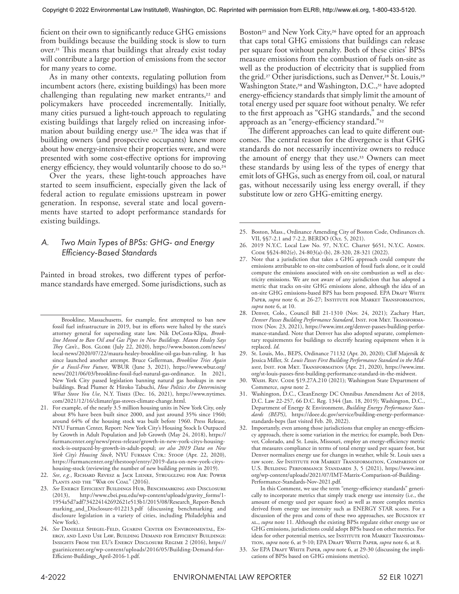ficient on their own to significantly reduce GHG emissions from buildings because the building stock is slow to turn over.21 This means that buildings that already exist today will contribute a large portion of emissions from the sector for many years to come.

As in many other contexts, regulating pollution from incumbent actors (here, existing buildings) has been more challenging than regulating new market entrants,<sup>22</sup> and policymakers have proceeded incrementally. Initially, many cities pursued a light-touch approach to regulating existing buildings that largely relied on increasing information about building energy use.23 The idea was that if building owners (and prospective occupants) knew more about how energy-intensive their properties were, and were presented with some cost-effective options for improving energy efficiency, they would voluntarily choose to do so.<sup>24</sup>

Over the years, these light-touch approaches have started to seem insufficient, especially given the lack of federal action to regulate emissions upstream in power generation. In response, several state and local governments have started to adopt performance standards for existing buildings.

### *A. Two Main Types of BPSs: GHG- and Energy Efficiency-Based Standards*

Painted in broad strokes, two different types of performance standards have emerged. Some jurisdictions, such as

Boston<sup>25</sup> and New York City,<sup>26</sup> have opted for an approach that caps total GHG emissions that buildings can release per square foot without penalty. Both of these cities' BPSs measure emissions from the combustion of fuels on-site as well as the production of electricity that is supplied from the grid.<sup>27</sup> Other jurisdictions, such as Denver,<sup>28</sup> St. Louis,<sup>29</sup> Washington State,<sup>30</sup> and Washington, D.C.,<sup>31</sup> have adopted energy-efficiency standards that simply limit the amount of total energy used per square foot without penalty. We refer to the first approach as "GHG standards," and the second approach as an "energy-efficiency standard."32

The different approaches can lead to quite different outcomes. The central reason for the divergence is that GHG standards do not necessarily incentivize owners to reduce the amount of energy that they use.33 Owners can meet these standards by using less of the types of energy that emit lots of GHGs, such as energy from oil, coal, or natural gas, without necessarily using less energy overall, if they substitute low or zero GHG-emitting energy.

- 27. Note that a jurisdiction that takes a GHG approach could compute the emissions attributable to on-site combustion of fossil fuels alone, or it could compute the emissions associated with on-site combustion as well as electricity emissions. We are not aware of any jurisdiction that has adopted a metric that tracks on-site GHG emissions alone, although the idea of an on-site GHG emissions-based BPS has been proposed. EPA DRAFT WHITE PAPER, *supra* note 6, at 26-27; INSTITUTE FOR MARKET TRANSFORMATION, *supra* note 6, at 10.
- 28. Denver, Colo., Council Bill 21-1310 (Nov. 24, 2021); Zachary Hart, Denver Passes Building Performance Standard, INST. FOR MKT. TRANSFORMAtion (Nov. 23, 2021), https://www.imt.org/denver-passes-building-performance-standard. Note that Denver has also adopted separate, complementary requirements for buildings to electrify heating equipment when it is replaced. *Id*.
- 29. St. Louis, Mo., BEPS, Ordinance 71132 (Apr. 20, 2020); Cliff Majersik & Jessica Miller, *St. Louis Passes First Building Performance Standard in the Midwest*, Inst. for Mkt. Transformation (Apr. 21, 2020), https://www.imt. org/st-louis-passes-first-building-performance-standard-in-the-midwest.
- 30. WASH. REV. CODE §19.27A.210 (2021); Washington State Department of Commerce, *supra* note 2.
- 31. Washington, D.C., CleanEnergy DC Omnibus Amendment Act of 2018, D.C. Law 22-257, 66 D.C. Reg. 1344 (Jan. 18, 2019); Washington, D.C., Department of Energy & Environment, *Building Energy Performance Standards (BEPS)*, https://doee.dc.gov/service/building-energy-performancestandards-beps (last visited Feb. 20, 2022).
- 32. Importantly, even among those jurisdictions that employ an energy-efficiency approach, there is some variation in the metrics; for example, both Denver, Colorado, and St. Louis, Missouri, employ an energy-efficiency metric that measures compliance in terms of total energy used per square foot, but Denver normalizes energy use for changes in weather, while St. Louis uses a raw score. *See* Institute for Market Transformation, Comparison of U.S. Building Performance Standards 3, 5 (2021), https://www.imt. org/wp-content/uploads/2021/07/IMT-Matrix-Comparison-of-Building-Performance-Standards-Nov-2021.pdf.

 In this Comment, we use the term "energy-efficiency standards" generically to incorporate metrics that simply track energy use intensity (i.e., the amount of energy used per square foot) as well as more complex metrics derived from energy use intensity such as ENERGY STAR scores. For a discussion of the pros and cons of these two approaches, see BUGNION ET al., *supra* note 11. Although the existing BPSs regulate either energy use or GHG emissions, jurisdictions could adopt BPSs based on other metrics. For ideas for other potential metrics, see INSTITUTE FOR MARKET TRANSFORMAtion, *supra* note 6, at 9-10; EPA Draft White Paper, *supra* note 6, at 8.

Brookline, Massachusetts, for example, first attempted to ban new fossil fuel infrastructure in 2019, but its efforts were halted by the state's attorney general for superseding state law. Nik DeCosta-Klipa, *Brookline Moved to Ban Oil and Gas Pipes in New Buildings. Maura Healey Says They Can't*., Bos. Globe (July 22, 2020), https://www.boston.com/news/ local-news/2020/07/22/maura-healey-brookline-oil-gas-ban-ruling. It has since launched another attempt. Bruce Gellerman, *Brookline Tries Again for a Fossil-Free Future*, WBUR (June 3, 2021), https://www.wbur.org/ news/2021/06/03/brookline-fossil-fuel-natural-gas-ordinance. In 2021, New York City passed legislation banning natural gas hookups in new buildings. Brad Plumer & Hiroko Tabuchi, *How Politics Are Determining What Stove You Use*, N.Y. Times (Dec. 16, 2021), https://www.nytimes. com/2021/12/16/climate/gas-stoves-climate-change.html.

<sup>21.</sup> For example, of the nearly 3.5 million housing units in New York City, only about 8% have been built since 2000, and just around 35% since 1960; around 64% of the housing stock was built before 1960. Press Release, NYU Furman Center, Report: New York City's Housing Stock Is Outpaced by Growth in Adult Population and Job Growth (May 24, 2018), https:// furmancenter.org/news/press-release/growth-in-new-york-citys-housingstock-is-outpaced-by-growth-in-adult-popul; *see also 2019 Data on New*  York City's Housing Stock, NYU FURMAN CTR.: STOOP (Apr. 22, 2020), https://furmancenter.org/thestoop/entry/2019-data-on-new-york-cityshousing-stock (reviewing the number of new building permits in 2019).

<sup>22.</sup> *See*, *e.g.*, Richard Revesz & Jack Lienke, Struggling for Air: Power PLANTS AND THE "WAR ON COAL" (2016).

<sup>23.</sup> *See* Energy Efficient Buildings Hub, Benchmarking and Disclosure (2013), http://www.cbei.psu.edu/wp-content/uploads/gravity\_forms/1- 1954a5d7adf734224142692621e513b1/2015/08/Research\_Report-Bench marking\_and\_Disclosure-012213.pdf (discussing benchmarking and disclosure legislation in a variety of cities, including Philadelphia and New York).

<sup>24.</sup> *See* Danielle Spiegel-Feld, Guarini Center on Environmental, Energy, and Land Use Law, Building Demand for Efficient Buildings: Insights From the EU's Energy Disclosure Regime 2 (2016), https:// guarinicenter.org/wp-content/uploads/2016/05/Building-Demand-for-Efficient-Buildings\_April-2016-1.pdf.

<sup>25.</sup> Boston, Mass., Ordinance Amending City of Boston Code, Ordinances ch. VII, §§7-2.1 and 7-2.2, BERDO (Oct. 5, 2021).

<sup>26. 2019</sup> N.Y.C. Local Law No. 97, N.Y.C. Charter §651, N.Y.C. ADMIN. Code §§24-802(e), 24-803(a)-(b), 28-320, 28-321 (2022).

<sup>33.</sup> See EPA DRAFT WHITE PAPER, *supra* note 6, at 29-30 (discussing the implications of BPSs based on GHG emissions metrics).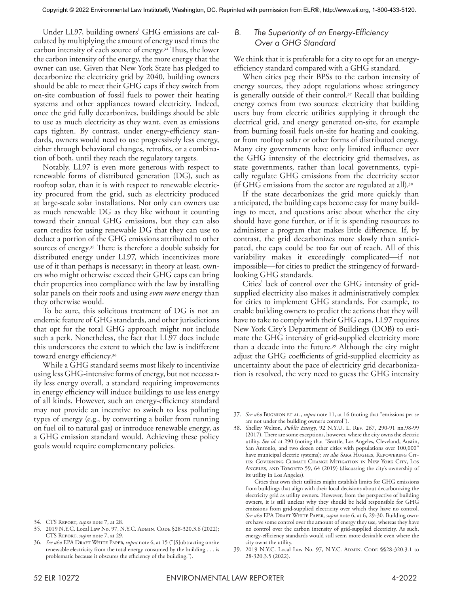Under LL97, building owners' GHG emissions are calculated by multiplying the amount of energy used times the carbon intensity of each source of energy.34 Thus, the lower the carbon intensity of the energy, the more energy that the owner can use. Given that New York State has pledged to decarbonize the electricity grid by 2040, building owners should be able to meet their GHG caps if they switch from on-site combustion of fossil fuels to power their heating systems and other appliances toward electricity. Indeed, once the grid fully decarbonizes, buildings should be able to use as much electricity as they want, even as emissions caps tighten. By contrast, under energy-efficiency standards, owners would need to use progressively less energy, either through behavioral changes, retrofits, or a combination of both, until they reach the regulatory targets.

Notably, LL97 is even more generous with respect to renewable forms of distributed generation (DG), such as rooftop solar, than it is with respect to renewable electricity procured from the grid, such as electricity produced at large-scale solar installations. Not only can owners use as much renewable DG as they like without it counting toward their annual GHG emissions, but they can also earn credits for using renewable DG that they can use to deduct a portion of the GHG emissions attributed to other sources of energy.<sup>35</sup> There is therefore a double subsidy for distributed energy under LL97, which incentivizes more use of it than perhaps is necessary; in theory at least, owners who might otherwise exceed their GHG caps can bring their properties into compliance with the law by installing solar panels on their roofs and using *even more* energy than they otherwise would.

To be sure, this solicitous treatment of DG is not an endemic feature of GHG standards, and other jurisdictions that opt for the total GHG approach might not include such a perk. Nonetheless, the fact that LL97 does include this underscores the extent to which the law is indifferent toward energy efficiency.36

While a GHG standard seems most likely to incentivize using less GHG-intensive forms of energy, but not necessarily less energy overall, a standard requiring improvements in energy efficiency will induce buildings to use less energy of all kinds. However, such an energy-efficiency standard may not provide an incentive to switch to less polluting types of energy (e.g., by converting a boiler from running on fuel oil to natural gas) or introduce renewable energy, as a GHG emission standard would. Achieving these policy goals would require complementary policies.

#### *B. The Superiority of an Energy-Efficiency Over a GHG Standard*

We think that it is preferable for a city to opt for an energyefficiency standard compared with a GHG standard.

When cities peg their BPSs to the carbon intensity of energy sources, they adopt regulations whose stringency is generally outside of their control.<sup>37</sup> Recall that building energy comes from two sources: electricity that building users buy from electric utilities supplying it through the electrical grid, and energy generated on-site, for example from burning fossil fuels on-site for heating and cooking, or from rooftop solar or other forms of distributed energy. Many city governments have only limited influence over the GHG intensity of the electricity grid themselves, as state governments, rather than local governments, typically regulate GHG emissions from the electricity sector (if GHG emissions from the sector are regulated at all).38

If the state decarbonizes the grid more quickly than anticipated, the building caps become easy for many buildings to meet, and questions arise about whether the city should have gone further, or if it is spending resources to administer a program that makes little difference. If, by contrast, the grid decarbonizes more slowly than anticipated, the caps could be too far out of reach. All of this variability makes it exceedingly complicated—if not impossible—for cities to predict the stringency of forwardlooking GHG standards.

Cities' lack of control over the GHG intensity of gridsupplied electricity also makes it administratively complex for cities to implement GHG standards. For example, to enable building owners to predict the actions that they will have to take to comply with their GHG caps, LL97 requires New York City's Department of Buildings (DOB) to estimate the GHG intensity of grid-supplied electricity more than a decade into the future.39 Although the city might adjust the GHG coefficients of grid-supplied electricity as uncertainty about the pace of electricity grid decarbonization is resolved, the very need to guess the GHG intensity

<sup>34.</sup> CTS Report, *supra* note 7, at 28.

<sup>35.</sup> 2019 N.Y.C. Local Law No. 97, N.Y.C. Admin. Code §28-320.3.6 (2022); CTS Report, *supra* note 7, at 29.

See also EPA DRAFT WHITE PAPER, *supra* note 6, at 15 ("[S]ubtracting onsite renewable electricity from the total energy consumed by the building . . . is problematic because it obscures the efficiency of the building.").

<sup>37.</sup> See also BuGNION ET AL., *supra* note 11, at 16 (noting that "emissions per se are not under the building owner's control").

<sup>38.</sup> Shelley Welton, *Public Energy*, 92 N.Y.U. L. Rev. 267, 290-91 nn.98-99 (2017). There are some exceptions, however, where the city owns the electric utility. *See id*. at 290 (noting that "Seattle, Los Angeles, Cleveland, Austin, San Antonio, and two dozen other cities with populations over 100,000" have municipal electric systems); see also SARA HUGHES, REPOWERING CITies: Governing Climate Change Mitigation in New York City, Los ANGELES, AND TORONTO 59, 64 (2019) (discussing the city's ownership of its utility in Los Angeles).

Cities that own their utilities might establish limits for GHG emissions from buildings that align with their local decisions about decarbonizing the electricity grid as utility owners. However, from the perspective of building owners, it is still unclear why they should be held responsible for GHG emissions from grid-supplied electricity over which they have no control. See also EPA DRAFT WHITE PAPER, *supra* note 6, at 6, 29-30. Building owners have some control over the amount of energy they use, whereas they have no control over the carbon intensity of grid-supplied electricity. As such, energy-efficiency standards would still seem more desirable even where the city owns the utility.

<sup>39.</sup> 2019 N.Y.C. Local Law No. 97, N.Y.C. Admin. Code §§28-320.3.1 to 28-320.3.5 (2022).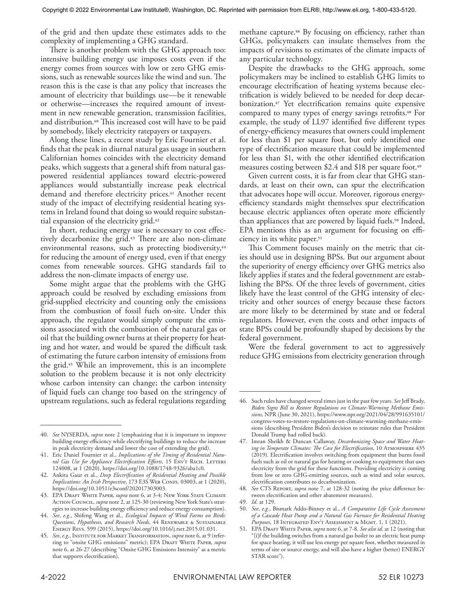of the grid and then update these estimates adds to the complexity of implementing a GHG standard.

There is another problem with the GHG approach too: intensive building energy use imposes costs even if the energy comes from sources with low or zero GHG emissions, such as renewable sources like the wind and sun. The reason this is the case is that any policy that increases the amount of electricity that buildings use—be it renewable or otherwise—increases the required amount of investment in new renewable generation, transmission facilities, and distribution.40 This increased cost will have to be paid by somebody, likely electricity ratepayers or taxpayers.

Along these lines, a recent study by Eric Fournier et al. finds that the peak in diurnal natural gas usage in southern Californian homes coincides with the electricity demand peaks, which suggests that a general shift from natural gaspowered residential appliances toward electric-powered appliances would substantially increase peak electrical demand and therefore electricity prices.<sup>41</sup> Another recent study of the impact of electrifying residential heating systems in Ireland found that doing so would require substantial expansion of the electricity grid.42

In short, reducing energy use is necessary to cost effectively decarbonize the grid.43 There are also non-climate environmental reasons, such as protecting biodiversity,<sup>44</sup> for reducing the amount of energy used, even if that energy comes from renewable sources. GHG standards fail to address the non-climate impacts of energy use.

Some might argue that the problems with the GHG approach could be resolved by excluding emissions from grid-supplied electricity and counting only the emissions from the combustion of fossil fuels on-site. Under this approach, the regulator would simply compute the emissions associated with the combustion of the natural gas or oil that the building owner burns at their property for heating and hot water, and would be spared the difficult task of estimating the future carbon intensity of emissions from the grid.45 While an improvement, this is an incomplete solution to the problem because it is not only electricity whose carbon intensity can change; the carbon intensity of liquid fuels can change too based on the stringency of upstream regulations, such as federal regulations regarding

methane capture.<sup>46</sup> By focusing on efficiency, rather than GHGs, policymakers can insulate themselves from the impacts of revisions to estimates of the climate impacts of any particular technology.

Despite the drawbacks to the GHG approach, some policymakers may be inclined to establish GHG limits to encourage electrification of heating systems because electrification is widely believed to be needed for deep decarbonization.47 Yet electrification remains quite expensive compared to many types of energy savings retrofits.48 For example, the study of LL97 identified five different types of energy-efficiency measures that owners could implement for less than \$1 per square foot, but only identified one type of electrification measure that could be implemented for less than \$1, with the other identified electrification measures costing between \$2.4 and \$18 per square foot.<sup>49</sup>

Given current costs, it is far from clear that GHG standards, at least on their own, can spur the electrification that advocates hope will occur. Moreover, rigorous energyefficiency standards might themselves spur electrification because electric appliances often operate more efficiently than appliances that are powered by liquid fuels.<sup>50</sup> Indeed, EPA mentions this as an argument for focusing on efficiency in its white paper.<sup>51</sup>

This Comment focuses mainly on the metric that cities should use in designing BPSs. But our argument about the superiority of energy efficiency over GHG metrics also likely applies if states and the federal government are establishing the BPSs. Of the three levels of government, cities likely have the least control of the GHG intensity of electricity and other sources of energy because these factors are more likely to be determined by state and or federal regulators. However, even the costs and other impacts of state BPSs could be profoundly shaped by decisions by the federal government.

Were the federal government to act to aggressively reduce GHG emissions from electricity generation through

<sup>40.</sup> *See* NYSERDA, *supra* note 2 (emphasizing that it is important to improve building energy efficiency while electrifying buildings to reduce the increase in peak electricity demand and lower the cost of extending the grid).

<sup>41.</sup> Eric Daniel Fournier et al., *Implications of the Timing of Residential Natu*ral Gas Use for Appliance Electrification Efforts, 15 ENVT RSCH. LETTERS 124008, at 1 (2020), https://doi.org/10.1088/1748-9326/aba1c0.

<sup>42.</sup> Ankita Gaur et al., *Deep Electrification of Residential Heating and Possible Implications: An Irish Perspective*, 173 E3S WEB CONFS. 03003, at 1 (2020), https://doi.org/10.1051/e3sconf/202017303003.

<sup>43.</sup> EPA DRAFT WHITE PAPER, *supra* note 6, at 3-4; New York State Climate Action Council, *supra* note 2, at 125-30 (reviewing New York State's strategies to increase building energy efficiency and reduce energy consumption).

<sup>44.</sup> *See*, *e.g.*, Shifeng Wang et al., *Ecological Impacts of Wind Farms on Birds: Questions, Hypotheses, and Research Needs*, 44 Renewable & Sustainable Energy Revs. 599 (2015), https://doi.org/10.1016/j.rser.2015.01.031.

<sup>45.</sup> *See*, *e.g*., Institute for Market Transformation, *supra* note 6, at 9 (referring to "onsite GHG emissions" metric); EPA DRAFT WHITE PAPER, *supra* note 6, at 26-27 (describing "Onsite GHG Emissions Intensity" as a metric that supports electrification).

<sup>46.</sup> Such rules have changed several times just in the past few years. *See* Jeff Brady, *Biden Signs Bill to Restore Regulations on Climate-Warming Methane Emissions*, NPR (June 30, 2021), https://www.npr.org/2021/04/28/991635101/ congress-votes-to-restore-regulations-on-climate-warming-methane-emissions (describing President Biden's decision to reinstate rules that President Donald Trump had rolled back).

<sup>47.</sup> Imran Sheikh & Duncan Callaway, *Decarbonizing Space and Water Heating in Temperate Climates: The Case for Electrification*, 10 Atmosphere 435 (2019)*.* Electrification involves switching from equipment that burns fossil fuels such as oil or natural gas for heating or cooking to equipment that uses electricity from the grid for these functions. Providing electricity is coming from low or zero GHG-emitting sources, such as wind and solar sources, electrification contributes to decarbonization.

<sup>48.</sup> *See* CTS Report, *supra* note 7, at 128-32 (noting the price difference between electrification and other abatement measures).

<sup>49.</sup> *Id*. at 129.

<sup>50.</sup> *See*, *e.g.*, Bismark Addo-Binney et al., *A Comparative Life Cycle Assessment of a Cascade Heat Pump and a Natural Gas Furnace for Residential Heating*  Purposes, 18 INTEGRATED ENVT ASSESSMENT & MGMT. 1, 1 (2021).

<sup>51.</sup> EPA Draft White Paper, *supra* note 6, at 7-8. *See also id*. at 12 (noting that "[i]f the building switches from a natural gas boiler to an electric heat pump for space heating, it will use less energy per square foot, whether measured in terms of site or source energy, and will also have a higher (better) ENERGY STAR score").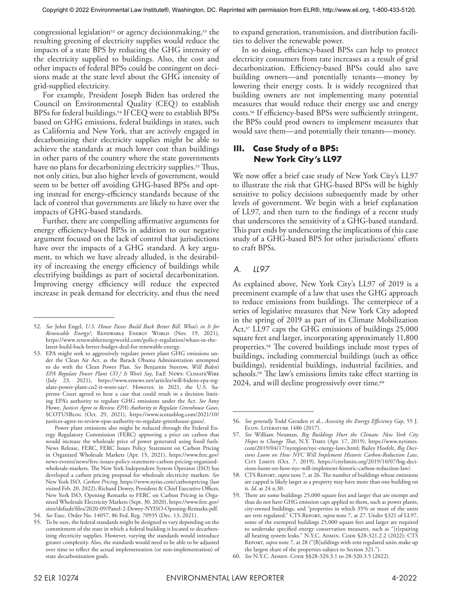congressional legislation<sup>52</sup> or agency decisionmaking,<sup>53</sup> the resulting greening of electricity supplies would reduce the impacts of a state BPS by reducing the GHG intensity of the electricity supplied to buildings. Also, the cost and other impacts of federal BPSs could be contingent on decisions made at the state level about the GHG intensity of grid-supplied electricity.

For example, President Joseph Biden has ordered the Council on Environmental Quality (CEQ) to establish BPSs for federal buildings.<sup>54</sup> If CEQ were to establish BPSs based on GHG emissions, federal buildings in states, such as California and New York, that are actively engaged in decarbonizing their electricity supplies might be able to achieve the standards at much lower cost than buildings in other parts of the country where the state governments have no plans for decarbonizing electricity supplies.<sup>55</sup> Thus, not only cities, but also higher levels of government, would seem to be better off avoiding GHG-based BPSs and opting instead for energy-efficiency standards because of the lack of control that governments are likely to have over the impacts of GHG-based standards.

Further, there are compelling affirmative arguments for energy efficiency-based BPSs in addition to our negative argument focused on the lack of control that jurisdictions have over the impacts of a GHG standard. A key argument, to which we have already alluded, is the desirability of increasing the energy efficiency of buildings while electrifying buildings as part of societal decarbonization. Improving energy efficiency will reduce the expected increase in peak demand for electricity, and thus the need

 Power plant emissions also might be reduced through the Federal Energy Regulatory Commission (FERC) approving a price on carbon that would increase the wholesale price of power generated using fossil fuels. News Release, FERC, FERC Issues Policy Statement on Carbon Pricing in Organized Wholesale Markets (Apr. 15, 2021), https://www.ferc.gov/ news-events/news/ferc-issues-policy-statement-carbon-pricing-organizedwholesale-markets. The New York Independent System Operator (ISO) has developed a carbon pricing proposal for wholesale electricity markets. *See* New York ISO, *Carbon Pricing*, https://www.nyiso.com/carbonpricing (last visited Feb. 20, 2022); Richard Dewey, President & Chief Executive Officer, New York ISO, Opening Remarks to FERC on Carbon Pricing in Organized Wholesale Electricity Markets (Sept. 30, 2020), https://www.ferc.gov/ sites/default/files/2020-09/Panel-2-Dewey-NYISO-Opening-Remarks.pdf.

to expand generation, transmission, and distribution facilities to deliver the renewable power.

In so doing, efficiency-based BPSs can help to protect electricity consumers from rate increases as a result of grid decarbonization. Efficiency-based BPSs could also save building owners—and potentially tenants—money by lowering their energy costs. It is widely recognized that building owners are not implementing many potential measures that would reduce their energy use and energy costs.56 If efficiency-based BPSs were sufficiently stringent, the BPSs could prod owners to implement measures that would save them—and potentially their tenants—money.

#### **III. Case Study of a BPS: New York City's LL97**

We now offer a brief case study of New York City's LL97 to illustrate the risk that GHG-based BPSs will be highly sensitive to policy decisions subsequently made by other levels of government. We begin with a brief explanation of LL97, and then turn to the findings of a recent study that underscores the sensitivity of a GHG-based standard. This part ends by underscoring the implications of this case study of a GHG-based BPS for other jurisdictions' efforts to craft BPSs.

#### *A. LL97*

As explained above, New York City's LL97 of 2019 is a preeminent example of a law that uses the GHG approach to reduce emissions from buildings. The centerpiece of a series of legislative measures that New York City adopted in the spring of 2019 as part of its Climate Mobilization Act,<sup>57</sup> LL97 caps the GHG emissions of buildings 25,000 square feet and larger, incorporating approximately 11,800 properties.58 The covered buildings include most types of buildings, including commercial buildings (such as office buildings), residential buildings, industrial facilities, and schools.59 The law's emissions limits take effect starting in 2024, and will decline progressively over time.<sup>60</sup>

<sup>52.</sup> *See* John Engel, *U.S. House Passes Build Back Better Bill. What's in It for*  Renewable Energy?, RENEWABLE ENERGY WORLD (Nov. 19, 2021), https://www.renewableenergyworld.com/policy-regulation/whats-in-thelatest-build-back-better-budget-deal-for-renewable-energy.

<sup>53.</sup> EPA might seek to aggressively regulate power plant GHG emissions under the Clean Air Act, as the Barack Obama Administration attempted to do with the Clean Power Plan. *See* Benjamin Storrow, *Will Biden's EPA Regulate Power Plant CO2 ? It Won't Say*, E&E News: ClimateWire (July 23, 2021), https://www.eenews.net/articles/will-bidens-epa-regulate-power-plant-co2-it-wont-say/. However, in 2021, the U.S. Supreme Court agreed to hear a case that could result in a decision limiting EPA's authority to regulate GHG emissions under the Act. *See* Amy Howe, *Justices Agree to Review EPA's Authority to Regulate Greenhouse Gases*, SCOTUSBlog (Oct. 29, 2021), https://www.scotusblog.com/2021/10/ justices-agree-to-review-epas-authority-to-regulate-greenhouse-gases/.

<sup>54.</sup> *See* Exec. Order No. 14057, 86 Fed. Reg. 70935 (Dec. 13, 2021).

<sup>55.</sup> To be sure, the federal standards might be designed to vary depending on the commitment of the state in which a federal building is located to decarbonizing electricity supplies. However, varying the standards would introduce greater complexity. Also, the standards would need to be able to be adjusted over time to reflect the actual implementation (or non-implementation) of state decarbonization goals.

<sup>56.</sup> *See generally* Todd Geraden et al., *Assessing the Energy Efficiency Gap*, 55 J. Econ. Literature 1486 (2017).

<sup>57.</sup> *See* William Neuman, *Big Buildings Hurt the Climate. New York City Hopes to Change That*, N.Y. Times (Apr. 17, 2019), https://www.nytimes. com/2019/04/17/nyregion/nyc-energy-laws.html; Bailey Hosfelt, *Big Decisions Loom on How NYC Will Implement Historic Carbon-Reduction Law*, CITY LIMITS (Oct. 7, 2019), https://citylimits.org/2019/10/07/big-decisions-loom-on-how-nyc-will-implement-historic-carbon-reduction-law/.

<sup>58.</sup> CTS Report, *supra* note 7, at 26. The number of buildings whose emissions are capped is likely larger as a property may have more than one building on it. *Id*. at 24 n.30.

<sup>59.</sup> There are some buildings 25,000 square feet and larger that are exempt and thus do not have GHG emission caps applied to them, such as power plants, city-owned buildings, and "properties in which 35% or more of the units are rent regulated." CTS Report, *supra* note 7, at 27. Under §321 of LL97, some of the exempted buildings 25,000 square feet and larger are required to undertake specified energy conservation measures, such as "[r]epairing all heating system leaks." N.Y.C. ADMIN. CODE §28-321.2.2 (2022); CTS Report, *supra* note 7, at 28 ("[B]uildings with rent regulated units make up the largest share of the properties subject to Section 321.").

<sup>60.</sup> *See* N.Y.C. Admin. Code §§28-320.3.1 to 28-320.3.5 (2022).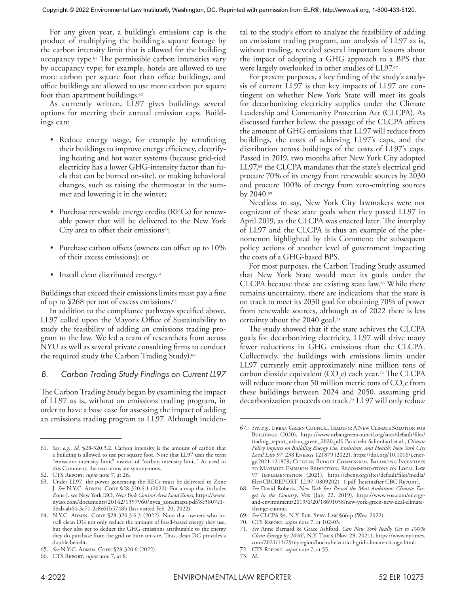For any given year, a building's emissions cap is the product of multiplying the building's square footage by the carbon intensity limit that is allowed for the building occupancy type.61 The permissible carbon intensities vary by occupancy type; for example, hotels are allowed to use more carbon per square foot than office buildings, and office buildings are allowed to use more carbon per square foot than apartment buildings.<sup>62</sup>

As currently written, LL97 gives buildings several options for meeting their annual emission caps. Buildings can:

- Reduce energy usage, for example by retrofitting their buildings to improve energy efficiency, electrifying heating and hot water systems (because grid-tied electricity has a lower GHG-intensity factor than fuels that can be burned on-site), or making behavioral changes, such as raising the thermostat in the summer and lowering it in the winter;
- Purchase renewable energy credits (RECs) for renewable power that will be delivered to the New York City area to offset their emissions<sup>63</sup>;
- Purchase carbon offsets (owners can offset up to 10% of their excess emissions); or
- Install clean distributed energy.<sup>64</sup>

Buildings that exceed their emissions limits must pay a fine of up to \$268 per ton of excess emissions.65

In addition to the compliance pathways specified above, LL97 called upon the Mayor's Office of Sustainability to study the feasibility of adding an emissions trading program to the law. We led a team of researchers from across NYU as well as several private consulting firms to conduct the required study (the Carbon Trading Study).<sup>66</sup>

#### *B. Carbon Trading Study Findings on Current LL97*

The Carbon Trading Study began by examining the impact of LL97 as is, without an emissions trading program, in order to have a base case for assessing the impact of adding an emissions trading program to LL97. Although inciden-

tal to the study's effort to analyze the feasibility of adding an emissions trading program, our analysis of LL97 as is, without trading, revealed several important lessons about the impact of adopting a GHG approach to a BPS that were largely overlooked in other studies of LL97.67

For present purposes, a key finding of the study's analysis of current LL97 is that key impacts of LL97 are contingent on whether New York State will meet its goals for decarbonizing electricity supplies under the Climate Leadership and Community Protection Act (CLCPA). As discussed further below, the passage of the CLCPA affects the amount of GHG emissions that LL97 will reduce from buildings, the costs of achieving LL97's caps, and the distribution across buildings of the costs of LL97's caps. Passed in 2019, two months after New York City adopted LL97,68 the CLCPA mandates that the state's electrical grid procure 70% of its energy from renewable sources by 2030 and procure 100% of energy from zero-emitting sources by 2040.69

Needless to say, New York City lawmakers were not cognizant of these state goals when they passed LL97 in April 2019, as the CLCPA was enacted later. The interplay of LL97 and the CLCPA is thus an example of the phenomenon highlighted by this Comment: the subsequent policy actions of another level of government impacting the costs of a GHG-based BPS.

For most purposes, the Carbon Trading Study assumed that New York State would meet its goals under the CLCPA because these are existing state law.70 While there remains uncertainty, there are indications that the state is on track to meet its 2030 goal for obtaining 70% of power from renewable sources, although as of 2022 there is less certainty about the 2040 goal.71

The study showed that if the state achieves the CLCPA goals for decarbonizing electricity, LL97 will drive many fewer reductions in GHG emissions than the CLCPA. Collectively, the buildings with emissions limits under LL97 currently emit approximately nine million tons of carbon dioxide equivalent  $(CO_2e)$  each year.<sup>72</sup> The CLCPA will reduce more than 50 million metric tons of  $CO<sub>2</sub>e$  from these buildings between 2024 and 2050, assuming grid decarbonization proceeds on track.73 LL97 will only reduce

<sup>61.</sup> *See*, *e.g.*, *id*. §28-320.3.2. Carbon intensity is the amount of carbon that a building is allowed to use per square foot. Note that LL97 uses the term "emissions intensity limit" instead of "carbon intensity limit." As used in this Comment, the two terms are synonymous.

<sup>62.</sup> CTS Report, *supra* note 7, at 26.

<sup>63.</sup> Under LL97, the power generating the RECs must be delivered to Zone J. See N.Y.C. ADMIN. CODE §28-320.6.1 (2022). For a map that includes Zone J, see New York ISO, *New York Control Area Load Zones*, https://www. nyiso.com/documents/20142/1397960/nyca\_zonemaps.pdf/8c3807e1- 5bab-ab44-3c71-2c8e61b5748b (last visited Feb. 20, 2022).

<sup>64.</sup> N.Y.C. ADMIN. CODE §28-320.3.6.3 (2022). Note that owners who install clean DG not only reduce the amount of fossil-based energy they use, but they also get to deduct the GHG emissions attributable to the energy they do purchase from the grid or burn on-site. Thus, clean DG provides a double benefit.

<sup>65.</sup> *See* N.Y.C. Admin. Code §28-320.6 (2022).

<sup>66.</sup> CTS Report, *supra* note 7, at 8.

<sup>67.</sup> *See*, *e.g.*, Urban Green Council, Trading: A New Climate Solution for BUILDINGS (2020), https://www.urbangreencouncil.org/sites/default/files/ trading\_report\_urban\_green\_2020.pdf; Parichehr Salimifard et al., *Climate Policy Impacts on Building Energy Use, Emissions, and Health: New York City Local Law 97*, 238 Energy 121879 (2022), https://doi.org/10.1016/j.energy.2021.121879; CITIZENS BUDGET COMMISSION, BALANCING INCENTIVES to Maximize Emission Reduction: Recommendations on Local Law 97 Implementation (2021), https://cbcny.org/sites/default/files/media/ files/CBCREPORT\_LL97\_08092021\_1.pdf [hereinafter CBC Report].

<sup>68.</sup> *See* David Roberts, *New York Just Passed the Most Ambitious Climate Target in the Country*, Vox (July 22, 2019), https://www.vox.com/energyand-environment/2019/6/20/18691058/new-york-green-new-deal-climatechange-cuomo.

<sup>69.</sup> *See* CLCPA §4, N.Y. Pub. Serv. Law §66-p (West 2022).

<sup>70.</sup> CTS Report, *supra* note 7, at 102-03.

<sup>71.</sup> *See* Anne Barnard & Grace Ashford, *Can New York Really Get to 100% Clean Energy by 2040?*, N.Y. Times (Nov. 29, 2021), https://www.nytimes. com/2021/11/29/nyregion/hochul-electrical-grid-climate-change.html.

<sup>72.</sup> CTS Report, *supra* note 7, at 55.

<sup>73.</sup> *Id*.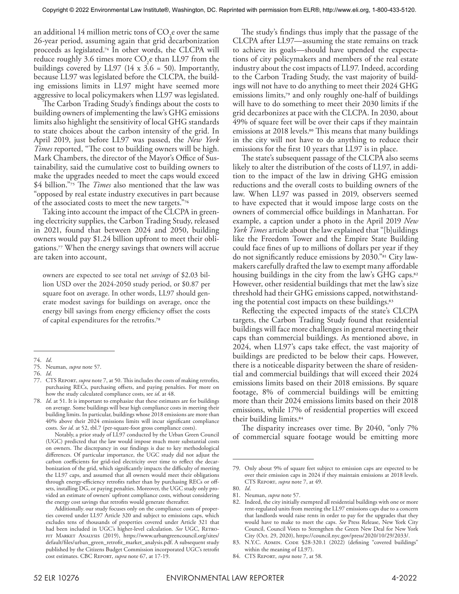an additional 14 million metric tons of  $\mathrm{CO}_2$ e over the same 26-year period, assuming again that grid decarbonization proceeds as legislated.74 In other words, the CLCPA will reduce roughly 3.6 times more  $CO<sub>2</sub>e$  than LL97 from the buildings covered by LL97 (14  $x$  3.6 = 50). Importantly, because LL97 was legislated before the CLCPA, the building emissions limits in LL97 might have seemed more aggressive to local policymakers when LL97 was legislated.

The Carbon Trading Study's findings about the costs to building owners of implementing the law's GHG emissions limits also highlight the sensitivity of local GHG standards to state choices about the carbon intensity of the grid. In April 2019, just before LL97 was passed, the *New York Times* reported, "The cost to building owners will be high. Mark Chambers, the director of the Mayor's Office of Sustainability, said the cumulative cost to building owners to make the upgrades needed to meet the caps would exceed \$4 billion."75 The *Times* also mentioned that the law was "opposed by real estate industry executives in part because of the associated costs to meet the new targets."76

Taking into account the impact of the CLCPA in greening electricity supplies, the Carbon Trading Study, released in 2021, found that between 2024 and 2050, building owners would pay \$1.24 billion upfront to meet their obligations.77 When the energy savings that owners will accrue are taken into account,

owners are expected to see total net *savings* of \$2.03 billion USD over the 2024-2050 study period, or \$0.87 per square foot on average. In other words, LL97 should generate modest savings for buildings on average, once the energy bill savings from energy efficiency offset the costs of capital expenditures for the retrofits.78

 Notably, a prior study of LL97 conducted by the Urban Green Council (UGC) predicted that the law would impose much more substantial costs on owners. The discrepancy in our findings is due to key methodological differences. Of particular importance, the UGC study did not adjust the carbon coefficients for grid-tied electricity over time to reflect the decarbonization of the grid, which significantly impacts the difficulty of meeting the LL97 caps, and assumed that all owners would meet their obligations through energy-efficiency retrofits rather than by purchasing RECs or offsets, installing DG, or paying penalties. Moreover, the UGC study only provided an estimate of owners' upfront compliance costs, without considering the energy cost savings that retrofits would generate thereafter.

The study's findings thus imply that the passage of the CLCPA after LL97—assuming the state remains on track to achieve its goals—should have upended the expectations of city policymakers and members of the real estate industry about the cost impacts of LL97. Indeed, according to the Carbon Trading Study, the vast majority of buildings will not have to do anything to meet their 2024 GHG emissions limits,<sup>79</sup> and only roughly one-half of buildings will have to do something to meet their 2030 limits if the grid decarbonizes at pace with the CLCPA. In 2030, about 49% of square feet will be over their caps if they maintain emissions at 2018 levels.<sup>80</sup> This means that many buildings in the city will not have to do anything to reduce their emissions for the first 10 years that LL97 is in place.

The state's subsequent passage of the CLCPA also seems likely to alter the distribution of the costs of LL97, in addition to the impact of the law in driving GHG emission reductions and the overall costs to building owners of the law. When LL97 was passed in 2019, observers seemed to have expected that it would impose large costs on the owners of commercial office buildings in Manhattan. For example, a caption under a photo in the April 2019 *New York Times* article about the law explained that "[b]uildings like the Freedom Tower and the Empire State Building could face fines of up to millions of dollars per year if they do not significantly reduce emissions by 2030."81 City lawmakers carefully drafted the law to exempt many affordable housing buildings in the city from the law's GHG caps.<sup>82</sup> However, other residential buildings that met the law's size threshold had their GHG emissions capped, notwithstanding the potential cost impacts on these buildings.83

Reflecting the expected impacts of the state's CLCPA targets, the Carbon Trading Study found that residential buildings will face more challenges in general meeting their caps than commercial buildings. As mentioned above, in 2024, when LL97's caps take effect, the vast majority of buildings are predicted to be below their caps. However, there is a noticeable disparity between the share of residential and commercial buildings that will exceed their 2024 emissions limits based on their 2018 emissions. By square footage, 8% of commercial buildings will be emitting more than their 2024 emissions limits based on their 2018 emissions, while 17% of residential properties will exceed their building limits.84

The disparity increases over time. By 2040, "only 7% of commercial square footage would be emitting more

<sup>74.</sup> *Id*.

<sup>75.</sup> Neuman, *supra* note 57.

<sup>76.</sup> *Id*.

<sup>77.</sup> CTS Report, *supra* note 7, at 50. This includes the costs of making retrofits, purchasing RECs, purchasing offsets, and paying penalties. For more on how the study calculated compliance costs, see *id*. at 48.

<sup>78.</sup> *Id*. at 51. It is important to emphasize that these estimates are for buildings on average. Some buildings will bear high compliance costs in meeting their building limits. In particular, buildings whose 2018 emissions are more than 40% above their 2024 emissions limits will incur significant compliance costs. *See id*. at 52, tbl.7 (per-square-foot gross compliance costs).

Additionally, our study focuses only on the compliance costs of properties covered under LL97 Article 320 and subject to emissions caps, which excludes tens of thousands of properties covered under Article 321 that had been included in UGC's higher-level calculation. See UGC, RETRO-FIT MARKET ANALYSIS (2019), https://www.urbangreencouncil.org/sites/ default/files/urban\_green\_retrofit\_market\_analysis.pdf. A subsequent study published by the Citizens Budget Commission incorporated UGC's retrofit cost estimates. CBC Report, *supra* note 67, at 17-19.

<sup>79.</sup> Only about 9% of square feet subject to emission caps are expected to be over their emission caps in 2024 if they maintain emissions at 2018 levels. CTS Report, *supra* note 7, at 49.

<sup>80.</sup> *Id*.

<sup>81.</sup> Neuman, *supra* note 57.

<sup>82.</sup> Indeed, the city initially exempted all residential buildings with one or more rent-regulated units from meeting the LL97 emissions caps due to a concern that landlords would raise rents in order to pay for the upgrades that they would have to make to meet the caps. *See* Press Release, New York City Council, Council Votes to Strengthen the Green New Deal for New York City (Oct. 29, 2020), https://council.nyc.gov/press/2020/10/29/2033/.

<sup>83.</sup> N.Y.C. ADMIN. CODE §28-320.1 (2022) (defining "covered buildings" within the meaning of LL97).

<sup>84.</sup> CTS Report, *supra* note 7, at 58.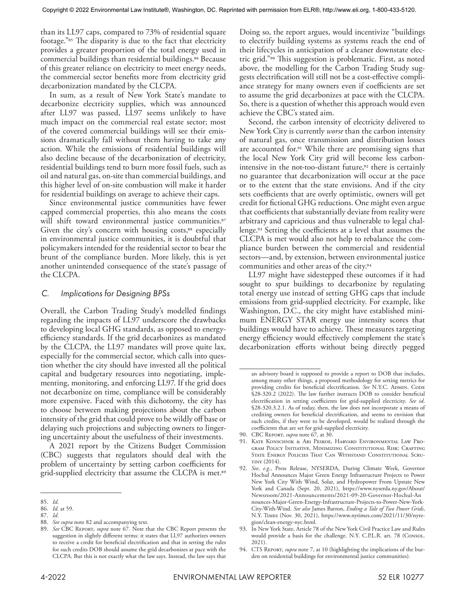than its LL97 caps, compared to 73% of residential square footage."85 The disparity is due to the fact that electricity provides a greater proportion of the total energy used in commercial buildings than residential buildings.<sup>86</sup> Because of this greater reliance on electricity to meet energy needs, the commercial sector benefits more from electricity grid decarbonization mandated by the CLCPA.

In sum, as a result of New York State's mandate to decarbonize electricity supplies, which was announced after LL97 was passed, LL97 seems unlikely to have much impact on the commercial real estate sector; most of the covered commercial buildings will see their emissions dramatically fall without them having to take any action. While the emissions of residential buildings will also decline because of the decarbonization of electricity, residential buildings tend to burn more fossil fuels, such as oil and natural gas, on-site than commercial buildings, and this higher level of on-site combustion will make it harder for residential buildings on average to achieve their caps.

Since environmental justice communities have fewer capped commercial properties, this also means the costs will shift toward environmental justice communities.<sup>87</sup> Given the city's concern with housing costs,<sup>88</sup> especially in environmental justice communities, it is doubtful that policymakers intended for the residential sector to bear the brunt of the compliance burden. More likely, this is yet another unintended consequence of the state's passage of the CLCPA.

#### *C. Implications for Designing BPSs*

Overall, the Carbon Trading Study's modelled findings regarding the impacts of LL97 underscore the drawbacks to developing local GHG standards, as opposed to energyefficiency standards. If the grid decarbonizes as mandated by the CLCPA, the LL97 mandates will prove quite lax, especially for the commercial sector, which calls into question whether the city should have invested all the political capital and budgetary resources into negotiating, implementing, monitoring, and enforcing LL97. If the grid does not decarbonize on time, compliance will be considerably more expensive. Faced with this dichotomy, the city has to choose between making projections about the carbon intensity of the grid that could prove to be wildly off base or delaying such projections and subjecting owners to lingering uncertainty about the usefulness of their investments.

A 2021 report by the Citizens Budget Commission (CBC) suggests that regulators should deal with the problem of uncertainty by setting carbon coefficients for grid-supplied electricity that assume the CLCPA is met.<sup>89</sup>

Doing so, the report argues, would incentivize "buildings to electrify building systems as systems reach the end of their lifecycles in anticipation of a cleaner downstate electric grid."90 This suggestion is problematic. First, as noted above, the modelling for the Carbon Trading Study suggests electrification will still not be a cost-effective compliance strategy for many owners even if coefficients are set to assume the grid decarbonizes at pace with the CLCPA. So, there is a question of whether this approach would even achieve the CBC's stated aim.

Second, the carbon intensity of electricity delivered to New York City is currently *worse* than the carbon intensity of natural gas, once transmission and distribution losses are accounted for.91 While there are promising signs that the local New York City grid will become less carbonintensive in the not-too-distant future,<sup>92</sup> there is certainly no guarantee that decarbonization will occur at the pace or to the extent that the state envisions. And if the city sets coefficients that are overly optimistic, owners will get credit for fictional GHG reductions. One might even argue that coefficients that substantially deviate from reality were arbitrary and capricious and thus vulnerable to legal challenge.93 Setting the coefficients at a level that assumes the CLCPA is met would also not help to rebalance the compliance burden between the commercial and residential sectors—and, by extension, between environmental justice communities and other areas of the city.94

LL97 might have sidestepped these outcomes if it had sought to spur buildings to decarbonize by regulating total energy use instead of setting GHG caps that include emissions from grid-supplied electricity. For example, like Washington, D.C., the city might have established minimum ENERGY STAR energy use intensity scores that buildings would have to achieve. These measures targeting energy efficiency would effectively complement the state's decarbonization efforts without being directly pegged

90. CBC Report, *supra* note 67, at 30.

<sup>85.</sup> *Id*.

<sup>86.</sup> *Id*. at 59.

<sup>87.</sup> *Id*.

<sup>88.</sup> *See supra* note 82 and accompanying text.

<sup>89.</sup> *See* CBC Report, *supra* note 67. Note that the CBC Report presents the suggestion in slightly different terms: it states that LL97 authorizes owners to receive a credit for beneficial electrification and that in setting the rules for such credits DOB should assume the grid decarbonizes at pace with the CLCPA. But this is not exactly what the law says. Instead, the law says that

an advisory board is supposed to provide a report to DOB that includes, among many other things, a proposed methodology for setting metrics for providing credits for beneficial electrification. See N.Y.C. ADMIN. CODE §28-320.2 (2022). The law further instructs DOB to consider beneficial electrification in setting coefficients for grid-supplied electricity. *See id*. §28-320.3.2.1. As of today, then, the law does not incorporate a means of crediting owners for beneficial electrification, and seems to envision that such credits, if they were to be developed, would be realized through the coefficients that are set for grid-supplied electricity.

<sup>91.</sup> Kate Konschnik & Ari Peskoe, Harvard Environmental Law Program Policy Initiative, Minimizing Constitutional Risk: Crafting STATE ENERGY POLICIES THAT CAN WITHSTAND CONSTITUTIONAL SCRUtiny (2014).

<sup>92.</sup> *See*, *e.g.*, Press Release, NYSERDA, During Climate Week, Governor Hochul Announces Major Green Energy Infrastructure Projects to Power New York City With Wind, Solar, and Hydropower From Upstate New York and Canada (Sept. 20, 2021), https://www.nyserda.ny.gov/About/ Newsroom/2021-Announcements/2021-09-20-Governor-Hochul-An nounces-Major-Green-Energy-Infrastructure-Projects-to-Power-New-York-City-With-Wind. *See also* James Barron, *Ending a Tale of Two Power Grids*, N.Y. Times (Nov. 30, 2021), https://www.nytimes.com/2021/11/30/nyregion/clean-energy-nyc.html.

<sup>93.</sup> In New York State, Article 78 of the New York Civil Practice Law and Rules would provide a basis for the challenge. N.Y. C.P.L.R. art. 78 (Consol. 2021).

<sup>94.</sup> CTS Report, *supra* note 7, at 10 (highlighting the implications of the burden on residential buildings for environmental justice communities).